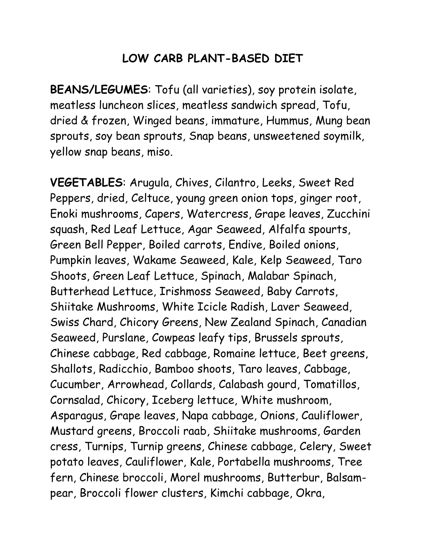## **LOW CARB PLANT-BASED DIET**

**BEANS/LEGUMES**: Tofu (all varieties), soy protein isolate, meatless luncheon slices, meatless sandwich spread, Tofu, dried & frozen, Winged beans, immature, Hummus, Mung bean sprouts, soy bean sprouts, Snap beans, unsweetened soymilk, yellow snap beans, miso.

**VEGETABLES**: Arugula, Chives, Cilantro, Leeks, Sweet Red Peppers, dried, Celtuce, young green onion tops, ginger root, Enoki mushrooms, Capers, Watercress, Grape leaves, Zucchini squash, Red Leaf Lettuce, Agar Seaweed, Alfalfa spourts, Green Bell Pepper, Boiled carrots, Endive, Boiled onions, Pumpkin leaves, Wakame Seaweed, Kale, Kelp Seaweed, Taro Shoots, Green Leaf Lettuce, Spinach, Malabar Spinach, Butterhead Lettuce, Irishmoss Seaweed, Baby Carrots, Shiitake Mushrooms, White Icicle Radish, Laver Seaweed, Swiss Chard, Chicory Greens, New Zealand Spinach, Canadian Seaweed, Purslane, Cowpeas leafy tips, Brussels sprouts, Chinese cabbage, Red cabbage, Romaine lettuce, Beet greens, Shallots, Radicchio, Bamboo shoots, Taro leaves, Cabbage, Cucumber, Arrowhead, Collards, Calabash gourd, Tomatillos, Cornsalad, Chicory, Iceberg lettuce, White mushroom, Asparagus, Grape leaves, Napa cabbage, Onions, Cauliflower, Mustard greens, Broccoli raab, Shiitake mushrooms, Garden cress, Turnips, Turnip greens, Chinese cabbage, Celery, Sweet potato leaves, Cauliflower, Kale, Portabella mushrooms, Tree fern, Chinese broccoli, Morel mushrooms, Butterbur, Balsampear, Broccoli flower clusters, Kimchi cabbage, Okra,